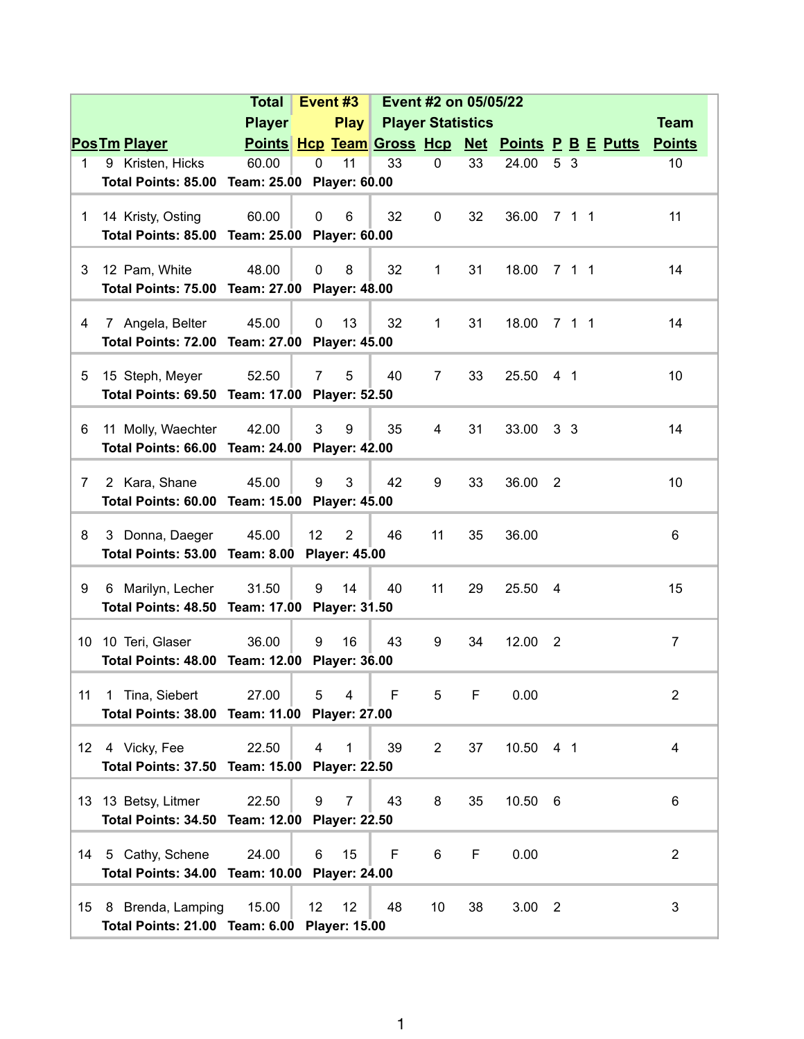|                                               |                                                                  | <b>Total</b>                                  |              | Event <sub>#3</sub>  | Event #2 on 05/05/22     |                |    |                                                  |                |  |             |                  |  |
|-----------------------------------------------|------------------------------------------------------------------|-----------------------------------------------|--------------|----------------------|--------------------------|----------------|----|--------------------------------------------------|----------------|--|-------------|------------------|--|
|                                               |                                                                  | <b>Player</b>                                 |              | Play                 | <b>Player Statistics</b> |                |    |                                                  |                |  | <b>Team</b> |                  |  |
|                                               | <b>PosTm Player</b>                                              |                                               |              |                      |                          |                |    | Points Hcp Team Gross Hcp Net Points P B E Putts |                |  |             | <b>Points</b>    |  |
| 1                                             | 9 Kristen, Hicks                                                 | 60.00                                         | $\Omega$     | 11                   | 33                       | $\mathbf 0$    | 33 | 24.00                                            | 5 3            |  |             | 10               |  |
|                                               | Total Points: 85.00 Team: 25.00                                  |                                               |              | <b>Player: 60.00</b> |                          |                |    |                                                  |                |  |             |                  |  |
|                                               |                                                                  |                                               |              |                      |                          |                |    |                                                  |                |  |             |                  |  |
| $\mathbf 1$                                   | 14 Kristy, Osting                                                | 60.00                                         | $\mathbf 0$  | 6                    | 32                       | 0              | 32 | 36.00                                            | 7 1 1          |  |             | 11               |  |
|                                               |                                                                  | Total Points: 85.00 Team: 25.00 Player: 60.00 |              |                      |                          |                |    |                                                  |                |  |             |                  |  |
| 3                                             | 12 Pam, White                                                    | 48.00                                         | $\mathbf 0$  | 8                    | 32                       | 1              | 31 | 18.00                                            | 7 1 1          |  |             | 14               |  |
|                                               | Total Points: 75.00 Team: 27.00 Player: 48.00                    |                                               |              |                      |                          |                |    |                                                  |                |  |             |                  |  |
|                                               |                                                                  |                                               |              |                      |                          |                |    |                                                  |                |  |             |                  |  |
| 4                                             | 7 Angela, Belter                                                 | 45.00                                         | $\mathbf{0}$ | 13                   | 32                       | $\mathbf{1}$   | 31 | 18.00 7 1 1                                      |                |  |             | 14               |  |
|                                               | Total Points: 72.00 Team: 27.00<br><b>Player: 45.00</b>          |                                               |              |                      |                          |                |    |                                                  |                |  |             |                  |  |
|                                               |                                                                  |                                               |              |                      |                          |                |    |                                                  |                |  |             |                  |  |
| 5                                             | 15 Steph, Meyer                                                  | 52.50                                         | 7            | 5                    | 40                       | 7              | 33 | 25.50                                            | 4 <sub>1</sub> |  |             | 10               |  |
|                                               | Total Points: 69.50 Team: 17.00                                  |                                               |              | <b>Player: 52.50</b> |                          |                |    |                                                  |                |  |             |                  |  |
| 6                                             | 11 Molly, Waechter                                               | 42.00                                         | 3            | 9                    | 35                       | 4              | 31 | 33.00                                            | 3 <sub>3</sub> |  |             | 14               |  |
|                                               | Total Points: 66.00 Team: 24.00                                  |                                               |              | <b>Player: 42.00</b> |                          |                |    |                                                  |                |  |             |                  |  |
|                                               |                                                                  |                                               |              |                      |                          |                |    |                                                  |                |  |             |                  |  |
| $\overline{7}$                                | 2 Kara, Shane                                                    | 45.00                                         | 9            | 3                    | 42                       | 9              | 33 | 36.00                                            | $\overline{2}$ |  |             | 10               |  |
|                                               | Total Points: 60.00 Team: 15.00 Player: 45.00                    |                                               |              |                      |                          |                |    |                                                  |                |  |             |                  |  |
|                                               |                                                                  |                                               |              |                      |                          |                |    |                                                  |                |  |             |                  |  |
| 8                                             | 3 Donna, Daeger                                                  | 45.00                                         | 12           | $\overline{2}$       | 46                       | 11             | 35 | 36.00                                            |                |  |             | 6                |  |
|                                               | Total Points: 53.00 Team: 8.00 Player: 45.00                     |                                               |              |                      |                          |                |    |                                                  |                |  |             |                  |  |
| 9                                             | 6 Marilyn, Lecher                                                | 31.50                                         | 9            | 14                   | 40                       | 11             | 29 | 25.50                                            | $\overline{4}$ |  |             | 15               |  |
|                                               | Total Points: 48.50 Team: 17.00 Player: 31.50                    |                                               |              |                      |                          |                |    |                                                  |                |  |             |                  |  |
|                                               |                                                                  |                                               |              |                      |                          |                |    |                                                  |                |  |             |                  |  |
| 10                                            | 10 Teri, Glaser                                                  | 36.00                                         | 9            | 16                   | 43                       | 9              | 34 | 12.00                                            | $\overline{2}$ |  |             | $\overline{7}$   |  |
|                                               | Total Points: 48.00 Team: 12.00 Player: 36.00                    |                                               |              |                      |                          |                |    |                                                  |                |  |             |                  |  |
|                                               |                                                                  | 27.00                                         | 5            | $\overline{4}$       | F                        | 5              | F  |                                                  |                |  |             |                  |  |
| 11                                            | 1 Tina, Siebert<br>Total Points: 38.00 Team: 11.00 Player: 27.00 |                                               |              |                      |                          |                |    | 0.00                                             |                |  |             | $\boldsymbol{2}$ |  |
|                                               |                                                                  |                                               |              |                      |                          |                |    |                                                  |                |  |             |                  |  |
| 12                                            | 4 Vicky, Fee                                                     | 22.50                                         | 4            | $\mathbf{1}$         | 39                       | $\overline{2}$ | 37 | 10.50 4 1                                        |                |  |             | 4                |  |
|                                               | Total Points: 37.50 Team: 15.00 Player: 22.50                    |                                               |              |                      |                          |                |    |                                                  |                |  |             |                  |  |
|                                               |                                                                  |                                               |              |                      |                          |                |    |                                                  |                |  |             |                  |  |
|                                               | 13 13 Betsy, Litmer                                              | 22.50                                         | 9            | $\overline{7}$       | 43                       | 8              | 35 | 10.50 6                                          |                |  |             | 6                |  |
|                                               | Total Points: 34.50 Team: 12.00                                  |                                               |              | <b>Player: 22.50</b> |                          |                |    |                                                  |                |  |             |                  |  |
| 14                                            | 5 Cathy, Schene                                                  | 24.00                                         | 6            | 15                   | F                        | 6              | F  | 0.00                                             |                |  |             | $\overline{2}$   |  |
|                                               |                                                                  |                                               |              |                      |                          |                |    |                                                  |                |  |             |                  |  |
| Total Points: 34.00 Team: 10.00 Player: 24.00 |                                                                  |                                               |              |                      |                          |                |    |                                                  |                |  |             |                  |  |
| 15                                            | 8 Brenda, Lamping                                                | 15.00                                         | 12           | 12                   | 48                       | 10             | 38 | $3.00$ 2                                         |                |  |             | 3                |  |
|                                               | Total Points: 21.00 Team: 6.00 Player: 15.00                     |                                               |              |                      |                          |                |    |                                                  |                |  |             |                  |  |